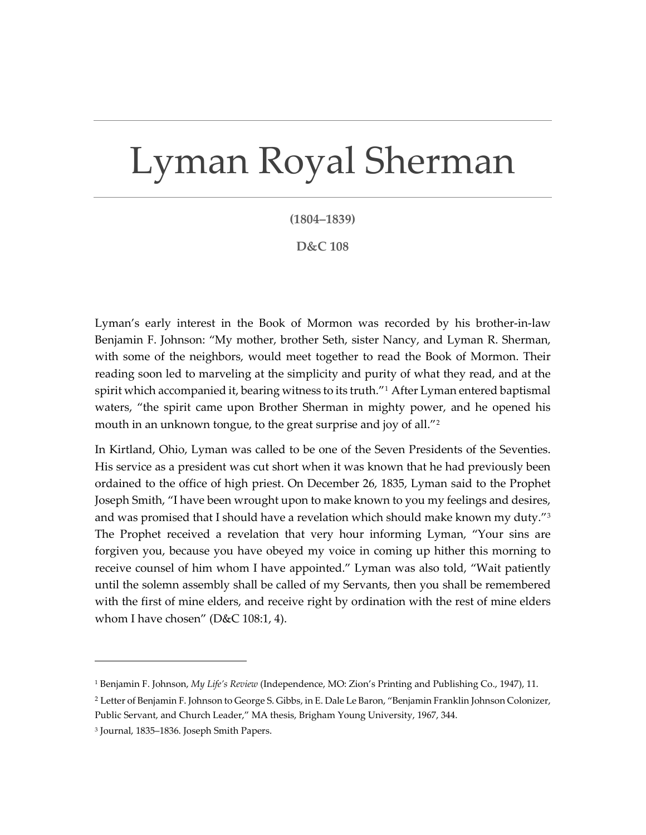## Lyman Royal Sherman

**(1804–1839)**

**D&C 108**

Lyman's early interest in the Book of Mormon was recorded by his brother-in-law Benjamin F. Johnson: "My mother, brother Seth, sister Nancy, and Lyman R. Sherman, with some of the neighbors, would meet together to read the Book of Mormon. Their reading soon led to marveling at the simplicity and purity of what they read, and at the spirit which accompanied it, bearing witness to its truth."<sup>[1](#page-0-0)</sup> After Lyman entered baptismal waters, "the spirit came upon Brother Sherman in mighty power, and he opened his mouth in an unknown tongue, to the great surprise and joy of all."[2](#page-0-1)

In Kirtland, Ohio, Lyman was called to be one of the Seven Presidents of the Seventies. His service as a president was cut short when it was known that he had previously been ordained to the office of high priest. On December 26, 1835, Lyman said to the Prophet Joseph Smith, "I have been wrought upon to make known to you my feelings and desires, and was promised that I should have a revelation which should make known my duty." $3$ The Prophet received a revelation that very hour informing Lyman, "Your sins are forgiven you, because you have obeyed my voice in coming up hither this morning to receive counsel of him whom I have appointed." Lyman was also told, "Wait patiently until the solemn assembly shall be called of my Servants, then you shall be remembered with the first of mine elders, and receive right by ordination with the rest of mine elders whom I have chosen" ( $D&C$  108:1, 4).

<span id="page-0-0"></span><sup>1</sup> Benjamin F. Johnson, *My Life's Review* (Independence, MO: Zion's Printing and Publishing Co., 1947), 11.

<span id="page-0-1"></span><sup>2</sup> Letter of Benjamin F. Johnson to George S. Gibbs, in E. Dale Le Baron, "Benjamin Franklin Johnson Colonizer, Public Servant, and Church Leader," MA thesis, Brigham Young University, 1967, 344.

<span id="page-0-2"></span><sup>3</sup> Journal, 1835–1836. Joseph Smith Papers.